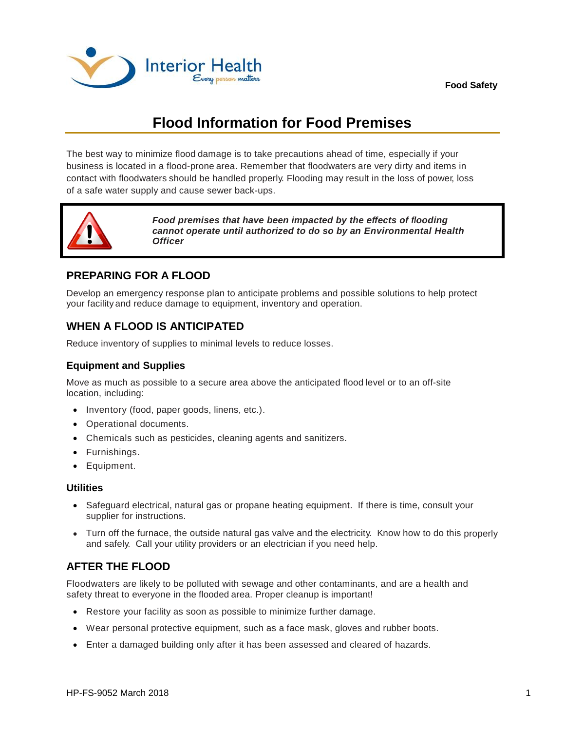

# **Flood Information for Food Premises**

The best way to minimize flood damage is to take precautions ahead of time, especially if your business is located in a flood-prone area. Remember that floodwaters are very dirty and items in contact with floodwaters should be handled properly. Flooding may result in the loss of power, loss of a safe water supply and cause sewer back-ups.



*Food premises that have been impacted by the effects of flooding cannot operate until authorized to do so by an Environmental Health Officer*

## **PREPARING FOR A FLOOD**

Develop an emergency response plan to anticipate problems and possible solutions to help protect your facility and reduce damage to equipment, inventory and operation.

# **WHEN A FLOOD IS ANTICIPATED**

Reduce inventory of supplies to minimal levels to reduce losses.

#### **Equipment and Supplies**

Move as much as possible to a secure area above the anticipated flood level or to an off-site location, including:

- Inventory (food, paper goods, linens, etc.).
- Operational documents.
- Chemicals such as pesticides, cleaning agents and sanitizers.
- Furnishings.
- **•** Equipment.

#### **Utilities**

- Safeguard electrical, natural gas or propane heating equipment. If there is time, consult your supplier for instructions.
- Turn off the furnace, the outside natural gas valve and the electricity. Know how to do this properly and safely. Call your utility providers or an electrician if you need help.

# **AFTER THE FLOOD**

Floodwaters are likely to be polluted with sewage and other contaminants, and are a health and safety threat to everyone in the flooded area. Proper cleanup is important!

- Restore your facility as soon as possible to minimize further damage.
- Wear personal protective equipment, such as a face mask, gloves and rubber boots.
- Enter a damaged building only after it has been assessed and cleared of hazards.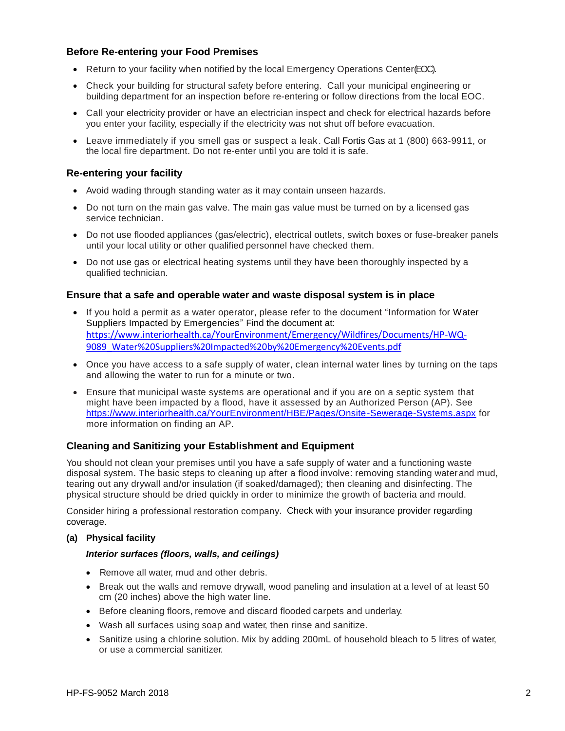#### **Before Re-entering your Food Premises**

- Return to your facility when notified by the local Emergency Operations Center(EOC).
- Check your building for structural safety before entering. Call your municipal engineering or building department for an inspection before re-entering or follow directions from the local EOC.
- Call your electricity provider or have an electrician inspect and check for electrical hazards before you enter your facility, especially if the electricity was not shut off before evacuation.
- Leave immediately if you smell gas or suspect a leak. Call Fortis Gas at 1 (800) 663-9911, or the local fire department. Do not re-enter until you are told it is safe.

#### **Re-entering your facility**

- Avoid wading through standing water as it may contain unseen hazards.
- Do not turn on the main gas valve. The main gas value must be turned on by a licensed gas service technician.
- Do not use flooded appliances (gas/electric), electrical outlets, switch boxes or fuse-breaker panels until your local utility or other qualified personnel have checked them.
- Do not use gas or electrical heating systems until they have been thoroughly inspected by a qualified technician.

#### **Ensure that a safe and operable water and waste disposal system is in place**

- If you hold a permit as a water operator, please refer to the document "Information for Water Suppliers Impacted by Emergencies" Find the document at: [https://www.interiorhealth.ca/YourEnvironment/Emergency/Wildfires/Documents/HP-WQ-](https://www.interiorhealth.ca/YourEnvironment/Emergency/Wildfires/Documents/HP-WQ-9089_Water%20Suppliers%20Impacted%20by%20Emergency%20Events.pdf)[9089\\_Water%20Suppliers%20Impacted%20by%20Emergency%20Events.pdf](https://www.interiorhealth.ca/YourEnvironment/Emergency/Wildfires/Documents/HP-WQ-9089_Water%20Suppliers%20Impacted%20by%20Emergency%20Events.pdf)
- Once you have access to a safe supply of water, clean internal water lines by turning on the taps and allowing the water to run for a minute or two.
- Ensure that municipal waste systems are operational and if you are on a septic system that might have been impacted by a flood, have it assessed by an Authorized Person (AP). See <https://www.interiorhealth.ca/YourEnvironment/HBE/Pages/Onsite-Sewerage-Systems.aspx> for more information on finding an AP.

#### **Cleaning and Sanitizing your Establishment and Equipment**

You should not clean your premises until you have a safe supply of water and a functioning waste disposal system. The basic steps to cleaning up after a flood involve: removing standing waterand mud, tearing out any drywall and/or insulation (if soaked/damaged); then cleaning and disinfecting. The physical structure should be dried quickly in order to minimize the growth of bacteria and mould.

Consider hiring a professional restoration company. Check with your insurance provider regarding coverage.

#### **(a) Physical facility**

#### *Interior surfaces (floors, walls, and ceilings)*

- Remove all water, mud and other debris.
- **Break out the walls and remove drywall, wood paneling and insulation at a level of at least 50** cm (20 inches) above the high water line.
- Before cleaning floors, remove and discard flooded carpets and underlay.
- Wash all surfaces using soap and water, then rinse and sanitize.
- Sanitize using a chlorine solution. Mix by adding 200mL of household bleach to 5 litres of water, or use a commercial sanitizer.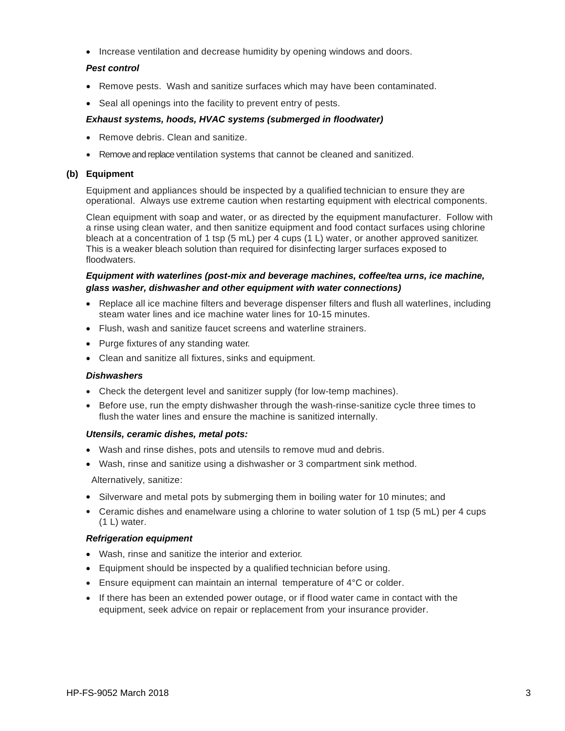• Increase ventilation and decrease humidity by opening windows and doors.

#### *Pest control*

- Remove pests. Wash and sanitize surfaces which may have been contaminated.
- Seal all openings into the facility to prevent entry of pests.

#### *Exhaust systems, hoods, HVAC systems (submerged in floodwater)*

- Remove debris. Clean and sanitize.
- Remove and replace ventilation systems that cannot be cleaned and sanitized.

#### **(b) Equipment**

Equipment and appliances should be inspected by a qualified technician to ensure they are operational. Always use extreme caution when restarting equipment with electrical components.

Clean equipment with soap and water, or as directed by the equipment manufacturer. Follow with a rinse using clean water, and then sanitize equipment and food contact surfaces using chlorine bleach at a concentration of 1 tsp (5 mL) per 4 cups (1 L) water, or another approved sanitizer. This is a weaker bleach solution than required for disinfecting larger surfaces exposed to floodwaters.

#### *Equipment with waterlines (post-mix and beverage machines, coffee/tea urns, ice machine, glass washer, dishwasher and other equipment with water connections)*

- Replace all ice machine filters and beverage dispenser filters and flush all waterlines, including steam water lines and ice machine water lines for 10-15 minutes.
- Flush, wash and sanitize faucet screens and waterline strainers.
- Purge fixtures of any standing water.
- Clean and sanitize all fixtures, sinks and equipment.

#### *Dishwashers*

- Check the detergent level and sanitizer supply (for low-temp machines).
- **Before use, run the empty dishwasher through the wash-rinse-sanitize cycle three times to** flush the water lines and ensure the machine is sanitized internally.

#### *Utensils, ceramic dishes, metal pots:*

- Wash and rinse dishes, pots and utensils to remove mud and debris.
- Wash, rinse and sanitize using a dishwasher or 3 compartment sink method.

Alternatively, sanitize:

- Silverware and metal pots by submerging them in boiling water for 10 minutes; and
- Ceramic dishes and enamelware using a chlorine to water solution of 1 tsp (5 mL) per 4 cups (1 L) water.

#### *Refrigeration equipment*

- Wash, rinse and sanitize the interior and exterior.
- Equipment should be inspected by a qualified technician before using.
- Ensure equipment can maintain an internal temperature of 4°C or colder.
- If there has been an extended power outage, or if flood water came in contact with the equipment, seek advice on repair or replacement from your insurance provider.